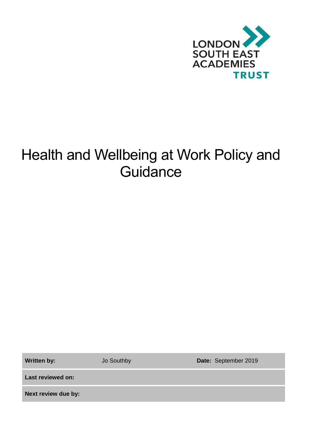

# Health and Wellbeing at Work Policy and **Guidance**

**Written by:** Jo Southby **Date:** September 2019

**Last reviewed on:**

**Next review due by:**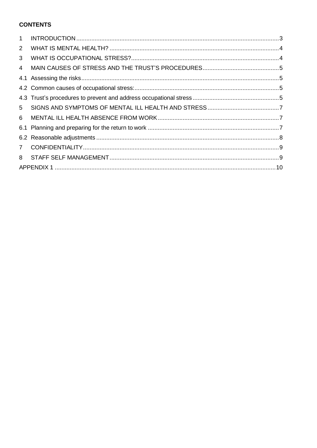# **CONTENTS**

| $\mathbf{1}$   |  |  |  |
|----------------|--|--|--|
| 2              |  |  |  |
| 3              |  |  |  |
| 4              |  |  |  |
|                |  |  |  |
|                |  |  |  |
|                |  |  |  |
| 5              |  |  |  |
| 6              |  |  |  |
|                |  |  |  |
|                |  |  |  |
| $\overline{7}$ |  |  |  |
| 8              |  |  |  |
|                |  |  |  |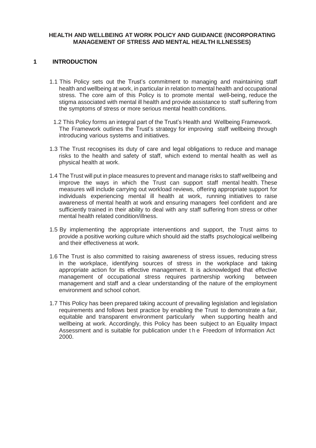#### **HEALTH AND WELLBEING AT WORK POLICY AND GUIDANCE (INCORPORATING MANAGEMENT OF STRESS AND MENTAL HEALTH ILLNESSES)**

### <span id="page-2-0"></span>**1 INTRODUCTION**

- 1.1 This Policy sets out the Trust's commitment to managing and maintaining staff health and wellbeing at work, in particular in relation to mental health and occupational stress. The core aim of this Policy is to promote mental well-being, reduce the stigma associated with mental ill health and provide assistance to staff suffering from the symptoms of stress or more serious mental health conditions.
- 1.2 This Policy forms an integral part of the Trust's Health and Wellbeing Framework. The Framework outlines the Trust's strategy for improving staff wellbeing through introducing various systems and initiatives.
- 1.3 The Trust recognises its duty of care and legal obligations to reduce and manage risks to the health and safety of staff, which extend to mental health as well as physical health at work.
- 1.4 The Trust will put in place measures to prevent and manage risks to staff wellbeing and improve the ways in which the Trust can support staff mental health. These measures will include carrying out workload reviews, offering appropriate support for individuals experiencing mental ill health at work, running initiatives to raise awareness of mental health at work and ensuring managers feel confident and are sufficiently trained in their ability to deal with any staff suffering from stress or other mental health related condition/illness.
- 1.5 By implementing the appropriate interventions and support, the Trust aims to provide a positive working culture which should aid the staffs psychological wellbeing and their effectiveness at work.
- 1.6 The Trust is also committed to raising awareness of stress issues, reducing stress in the workplace, identifying sources of stress in the workplace and taking appropriate action for its effective management. It is acknowledged that effective management of occupational stress requires partnership working between management and staff and a clear understanding of the nature of the employment environment and school cohort.
- 1.7 This Policy has been prepared taking account of prevailing legislation and legislation requirements and follows best practice by enabling the Trust to demonstrate a fair, equitable and transparent environment particularly when supporting health and wellbeing at work. Accordingly, this Policy has been subject to an Equality Impact Assessment and is suitable for publication under t h e Freedom of Information Act 2000.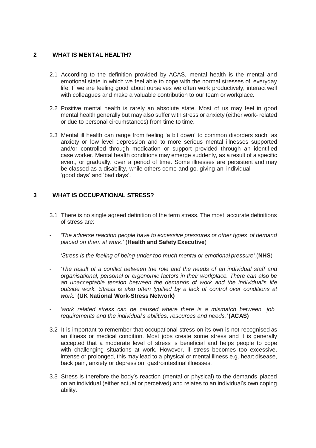## <span id="page-3-0"></span>**2 WHAT IS MENTAL HEALTH?**

- 2.1 According to the definition provided by ACAS, mental health is the mental and emotional state in which we feel able to cope with the normal stresses of everyday life. If we are feeling good about ourselves we often work productively, interact well with colleagues and make a valuable contribution to our team or workplace.
- 2.2 Positive mental health is rarely an absolute state. Most of us may feel in good mental health generally but may also suffer with stress or anxiety (either work- related or due to personal circumstances) from time to time.
- 2.3 Mental ill health can range from feeling 'a bit down' to common disorders such as anxiety or low level depression and to more serious mental illnesses supported and/or controlled through medication or support provided through an identified case worker. Mental health conditions may emerge suddenly, as a result of a specific event, or gradually, over a period of time. Some illnesses are persistent and may be classed as a disability, while others come and go, giving an individual 'good days' and 'bad days'.

## <span id="page-3-1"></span>**3 WHAT IS OCCUPATIONAL STRESS?**

- 3.1 There is no single agreed definition of the term stress. The most accurate definitions of stress are:
- *'The adverse reaction people have to excessive pressures or other types of demand placed on them at work*.' (**Health and SafetyExecutive**)
- *'Stress is the feeling of being under too much mental or emotional pressure'.*(**NHS**)
- *'The result of a conflict between the role and the needs of an individual staff and organisational, personal or ergonomic factors in their workplace. There can also be an unacceptable tension between the demands of work and the individual's life outside work. Stress is also often typified by a lack of control over conditions at work.'* **(UK National Work-Stress Network)**
- *'work related stress can be caused where there is a mismatch between job requirements and the individual's abilities, resources and needs.'* **(ACAS)**
- 3.2 It is important to remember that occupational stress on its own is not recognised as an illness or medical condition. Most jobs create some stress and it is generally accepted that a moderate level of stress is beneficial and helps people to cope with challenging situations at work. However, if stress becomes too excessive, intense or prolonged, this may lead to a physical or mental illness e.g. heart disease, back pain, anxiety or depression, gastrointestinal illnesses.
- 3.3 Stress is therefore the body's reaction (mental or physical) to the demands placed on an individual (either actual or perceived) and relates to an individual's own coping ability.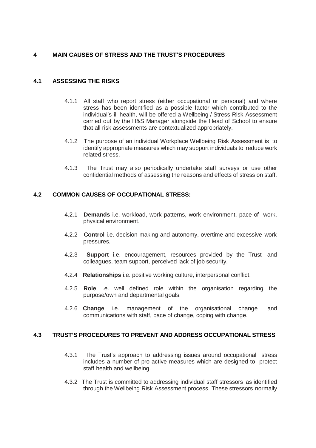# <span id="page-4-0"></span>**4 MAIN CAUSES OF STRESS AND THE TRUST'S PROCEDURES**

## <span id="page-4-1"></span>**4.1 ASSESSING THE RISKS**

- 4.1.1 All staff who report stress (either occupational or personal) and where stress has been identified as a possible factor which contributed to the individual's ill health, will be offered a Wellbeing / Stress Risk Assessment carried out by the H&S Manager alongside the Head of School to ensure that all risk assessments are contextualized appropriately.
- 4.1.2 The purpose of an individual Workplace Wellbeing Risk Assessment is to identify appropriate measures which may support individuals to reduce work related stress.
- 4.1.3 The Trust may also periodically undertake staff surveys or use other confidential methods of assessing the reasons and effects of stress on staff.

## <span id="page-4-2"></span>**4.2 COMMON CAUSES OF OCCUPATIONAL STRESS:**

- 4.2.1 **Demands** i.e. workload, work patterns, work environment, pace of work, physical environment.
- 4.2.2 **Control** i.e. decision making and autonomy, overtime and excessive work pressures.
- 4.2.3 **Support** i.e. encouragement, resources provided by the Trust and colleagues, team support, perceived lack of job security.
- 4.2.4 **Relationships** i.e. positive working culture, interpersonal conflict.
- 4.2.5 **Role** i.e. well defined role within the organisation regarding the purpose/own and departmental goals.
- 4.2.6 **Change** i.e. management of the organisational change and communications with staff, pace of change, coping with change.

## <span id="page-4-3"></span>**4.3 TRUST'S PROCEDURES TO PREVENT AND ADDRESS OCCUPATIONAL STRESS**

- 4.3.1 The Trust's approach to addressing issues around occupational stress includes a number of pro-active measures which are designed to protect staff health and wellbeing.
- 4.3.2 The Trust is committed to addressing individual staff stressors as identified through the Wellbeing Risk Assessment process. These stressors normally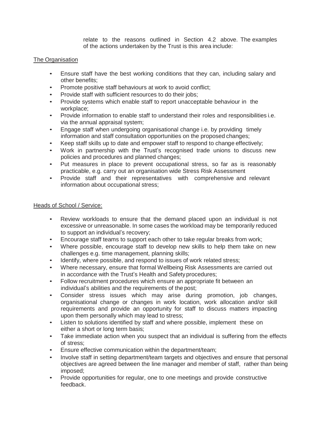relate to the reasons outlined in Section 4.2 above. The examples of the actions undertaken by the Trust is this area include:

### The Organisation

- Ensure staff have the best working conditions that they can, including salary and other benefits;
- Promote positive staff behaviours at work to avoid conflict;
- Provide staff with sufficient resources to do their jobs;
- Provide systems which enable staff to report unacceptable behaviour in the workplace;
- Provide information to enable staff to understand their roles and responsibilities i.e. via the annual appraisal system;
- Engage staff when undergoing organisational change i.e. by providing timely information and staff consultation opportunities on the proposed changes;
- Keep staff skills up to date and empower staff to respond to change effectively;
- Work in partnership with the Trust's recognised trade unions to discuss new policies and procedures and planned changes;
- Put measures in place to prevent occupational stress, so far as is reasonably practicable, e.g. carry out an organisation wide Stress Risk Assessment
- Provide staff and their representatives with comprehensive and relevant information about occupational stress;

#### Heads of School / Service:

- Review workloads to ensure that the demand placed upon an individual is not excessive or unreasonable. In some cases the workload may be temporarily reduced to support an individual's recovery;
- Encourage staff teams to support each other to take regular breaks from work;
- Where possible, encourage staff to develop new skills to help them take on new challenges e.g. time management, planning skills;
- Identify, where possible, and respond to issues of work related stress;
- Where necessary, ensure that formal Wellbeing Risk Assessments are carried out in accordance with the Trust's Health and Safety procedures;
- Follow recruitment procedures which ensure an appropriate fit between an individual's abilities and the requirements of the post;
- Consider stress issues which may arise during promotion, job changes, organisational change or changes in work location, work allocation and/or skill requirements and provide an opportunity for staff to discuss matters impacting upon them personally which may lead to stress;
- Listen to solutions identified by staff and where possible, implement these on either a short or long term basis;
- Take immediate action when you suspect that an individual is suffering from the effects of stress;
- Ensure effective communication within the department/team;
- Involve staff in setting department/team targets and objectives and ensure that personal objectives are agreed between the line manager and member of staff, rather than being imposed;
- Provide opportunities for regular, one to one meetings and provide constructive feedback.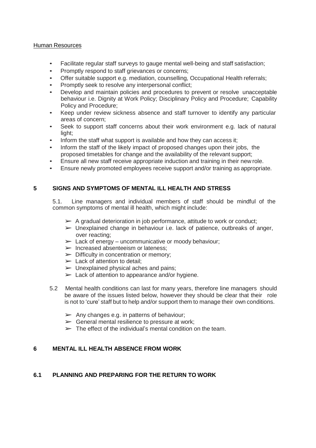#### Human Resources

- Facilitate regular staff surveys to gauge mental well-being and staff satisfaction;
- Promptly respond to staff grievances or concerns;
- Offer suitable support e.g. mediation, counselling, Occupational Health referrals;
- Promptly seek to resolve any interpersonal conflict;
- Develop and maintain policies and procedures to prevent or resolve unacceptable behaviour i.e. Dignity at Work Policy; Disciplinary Policy and Procedure; Capability Policy and Procedure;
- Keep under review sickness absence and staff turnover to identify any particular areas of concern;
- Seek to support staff concerns about their work environment e.g. lack of natural light;
- Inform the staff what support is available and how they can access it;
- Inform the staff of the likely impact of proposed changes upon their jobs, the proposed timetables for change and the availability of the relevant support;
- Ensure all new staff receive appropriate induction and training in their new role.
- Ensure newly promoted employees receive support and/or training as appropriate.

# <span id="page-6-0"></span>**5 SIGNS AND SYMPTOMS OF MENTAL ILL HEALTH AND STRESS**

5.1. Line managers and individual members of staff should be mindful of the common symptoms of mental ill health, which might include:

- $\triangleright$  A gradual deterioration in job performance, attitude to work or conduct;
- $\triangleright$  Unexplained change in behaviour i.e. lack of patience, outbreaks of anger, over reacting;
- $\triangleright$  Lack of energy uncommunicative or moody behaviour;
- ➢ Increased absenteeism or lateness;
- $\triangleright$  Difficulty in concentration or memory;
- $\blacktriangleright$  Lack of attention to detail:
- $\triangleright$  Unexplained physical aches and pains;
- $\blacktriangleright$  Lack of attention to appearance and/or hygiene.
- 5.2 Mental health conditions can last for many years, therefore line managers should be aware of the issues listed below, however they should be clear that their role is not to 'cure' staff but to help and/or support them to manage their own conditions.
	- $\triangleright$  Any changes e.g. in patterns of behaviour;
	- $\triangleright$  General mental resilience to pressure at work;
	- $\triangleright$  The effect of the individual's mental condition on the team.

## <span id="page-6-1"></span>**6 MENTAL ILL HEALTH ABSENCE FROM WORK**

# <span id="page-6-2"></span>**6.1 PLANNING AND PREPARING FOR THE RETURN TO WORK**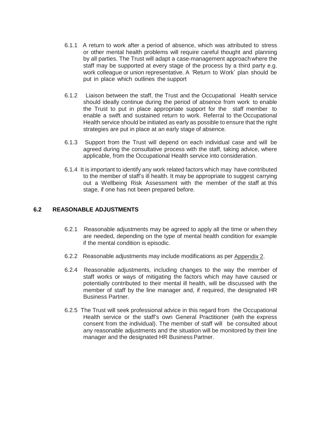- 6.1.1 A return to work after a period of absence, which was attributed to stress or other mental health problems will require careful thought and planning by all parties. The Trust will adapt a case-management approach where the staff may be supported at every stage of the process by a third party e.g. work colleague or union representative. A 'Return to Work' plan should be put in place which outlines the support
- 6.1.2 Liaison between the staff, the Trust and the Occupational Health service should ideally continue during the period of absence from work to enable the Trust to put in place appropriate support for the staff member to enable a swift and sustained return to work. Referral to the Occupational Health service should be initiated as early as possible to ensure that the right strategies are put in place at an early stage of absence.
- 6.1.3 Support from the Trust will depend on each individual case and will be agreed during the consultative process with the staff, taking advice, where applicable, from the Occupational Health service into consideration.
- 6.1.4 It is important to identify any work related factors which may have contributed to the member of staff's ill health. It may be appropriate to suggest carrying out a Wellbeing Risk Assessment with the member of the staff at this stage, if one has not been prepared before.

# <span id="page-7-0"></span>**6.2 REASONABLE ADJUSTMENTS**

- 6.2.1 Reasonable adjustments may be agreed to apply all the time or when they are needed, depending on the type of mental health condition for example if the mental condition is episodic.
- 6.2.2 Reasonable adjustments may include modifications as per Appendix 2.
- 6.2.4 Reasonable adjustments, including changes to the way the member of staff works or ways of mitigating the factors which may have caused or potentially contributed to their mental ill health, will be discussed with the member of staff by the line manager and, if required, the designated HR Business Partner.
- 6.2.5 The Trust will seek professional advice in this regard from the Occupational Health service or the staff's own General Practitioner (with the express consent from the individual). The member of staff will be consulted about any reasonable adjustments and the situation will be monitored by their line manager and the designated HR Business Partner.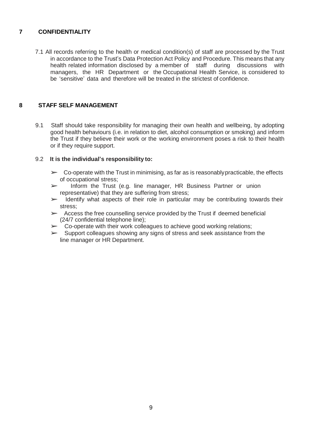# <span id="page-8-0"></span>**7 CONFIDENTIALITY**

7.1 All records referring to the health or medical condition(s) of staff are processed by the Trust in accordance to the Trust's Data Protection Act Policy and Procedure. This means that any health related information disclosed by a member of staff during discussions with managers, the HR Department or the Occupational Health Service, is considered to be 'sensitive' data and therefore will be treated in the strictest of confidence.

## <span id="page-8-1"></span>**8 STAFF SELF MANAGEMENT**

9.1 Staff should take responsibility for managing their own health and wellbeing, by adopting good health behaviours (i.e. in relation to diet, alcohol consumption or smoking) and inform the Trust if they believe their work or the working environment poses a risk to their health or if they require support.

#### 9.2 **It is the individual's responsibility to:**

- $\triangleright$  Co-operate with the Trust in minimising, as far as is reasonably practicable, the effects of occupational stress;
- ➢ Inform the Trust (e.g. line manager, HR Business Partner or union representative) that they are suffering from stress;
- $\triangleright$  Identify what aspects of their role in particular may be contributing towards their stress;
- $\triangleright$  Access the free counselling service provided by the Trust if deemed beneficial (24/7 confidential telephone line);
- $\geq$  Co-operate with their work colleagues to achieve good working relations;<br>Support colleagues showing any signs of stress and seek assistance from
- Support colleagues showing any signs of stress and seek assistance from the line manager or HR Department.